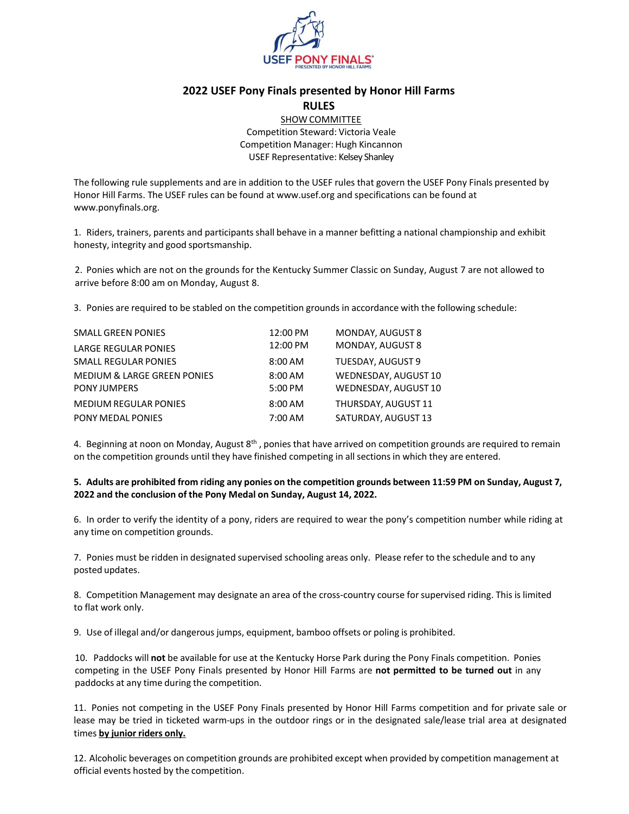

# **2022 USEF Pony Finals presented by Honor Hill Farms RULES**

SHOW COMMITTEE Competition Steward: Victoria Veale Competition Manager: Hugh Kincannon USEF Representative: Kelsey Shanley

The following rule supplements and are in addition to the USEF rules that govern the USEF Pony Finals presented by Honor Hill Farms. The USEF rules can be found at [www.usef.org](http://www.usef.org/) and specifications can be found at [www.ponyfinals.org.](http://www.ponyfinals.org/)

1. Riders, trainers, parents and participants shall behave in a manner befitting a national championship and exhibit honesty, integrity and good sportsmanship.

2. Ponies which are not on the grounds for the Kentucky Summer Classic on Sunday, August 7 are not allowed to arrive before 8:00 am on Monday, August 8.

3. Ponies are required to be stabled on the competition grounds in accordance with the following schedule:

| SMALL GREEN PONIES                     | 12:00 PM  | <b>MONDAY, AUGUST 8</b> |
|----------------------------------------|-----------|-------------------------|
| LARGE REGULAR PONIES                   | 12:00 PM  | <b>MONDAY, AUGUST 8</b> |
| SMALL REGULAR PONIES                   | $8:00$ AM | TUESDAY, AUGUST 9       |
| <b>MEDIUM &amp; LARGE GREEN PONIES</b> | 8:00 AM   | WEDNESDAY, AUGUST 10    |
| PONY JUMPERS                           | 5:00 PM   | WEDNESDAY, AUGUST 10    |
| <b>MEDIUM REGULAR PONIES</b>           | $8:00$ AM | THURSDAY, AUGUST 11     |
| PONY MEDAL PONIES                      | 7:00 AM   | SATURDAY, AUGUST 13     |

4. Beginning at noon on Monday, August 8<sup>th</sup> , ponies that have arrived on competition grounds are required to remain on the competition grounds until they have finished competing in allsections in which they are entered.

### 5. Adults are prohibited from riding any ponies on the competition grounds between 11:59 PM on Sunday, August 7, **2022 and the conclusion of the Pony Medal on Sunday, August 14, 2022.**

6. In order to verify the identity of a pony, riders are required to wear the pony's competition number while riding at any time on competition grounds.

7. Ponies must be ridden in designated supervised schooling areas only. Please refer to the schedule and to any posted updates.

8. Competition Management may designate an area of the cross-country course forsupervised riding. This is limited to flat work only.

9. Use of illegal and/or dangerous jumps, equipment, bamboo offsets or poling is prohibited.

10. Paddocks will **not** be available for use at the Kentucky Horse Park during the Pony Finals competition. Ponies competing in the USEF Pony Finals presented by Honor Hill Farms are **not permitted to be turned out** in any paddocks at any time during the competition.

11. Ponies not competing in the USEF Pony Finals presented by Honor Hill Farms competition and for private sale or lease may be tried in ticketed warm-ups in the outdoor rings or in the designated sale/lease trial area at designated times **by junior riders only.**

12. Alcoholic beverages on competition grounds are prohibited except when provided by competition management at official events hosted by the competition.